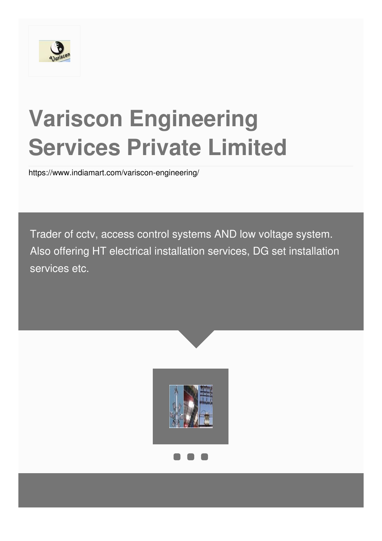

# **Variscon Engineering Services Private Limited**

<https://www.indiamart.com/variscon-engineering/>

Trader of cctv, access control systems AND low voltage system. Also offering HT electrical installation services, DG set installation services etc.

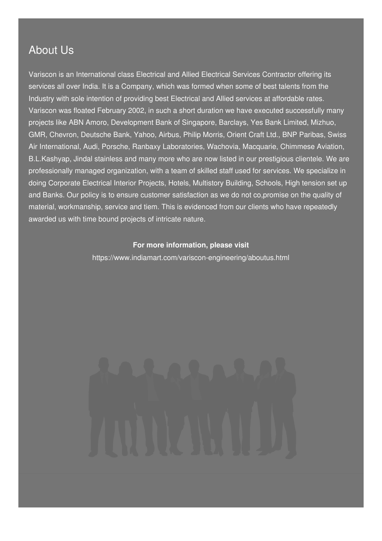### About Us

Variscon is an International class Electrical and Allied Electrical Services Contractor offering its services all over India. It is a Company, which was formed when some of best talents from the Industry with sole intention of providing best Electrical and Allied services at affordable rates. Variscon was floated February 2002, in such a short duration we have executed successfully many projects like ABN Amoro, Development Bank of Singapore, Barclays, Yes Bank Limited, Mizhuo, GMR, Chevron, Deutsche Bank, Yahoo, Airbus, Philip Morris, Orient Craft Ltd., BNP Paribas, Swiss Air International, Audi, Porsche, Ranbaxy Laboratories, Wachovia, Macquarie, Chimmese Aviation, B.L.Kashyap, Jindal stainless and many more who are now listed in our prestigious clientele. We are professionally managed organization, with a team of skilled staff used for services. We specialize in doing Corporate Electrical Interior Projects, Hotels, Multistory Building, Schools, High tension set up and Banks. Our policy is to ensure customer satisfaction as we do not co,promise on the quality of material, workmanship, service and tiem. This is evidenced from our clients who have repeatedly awarded us with time bound projects of intricate nature.

#### **For more information, please visit**

<https://www.indiamart.com/variscon-engineering/aboutus.html>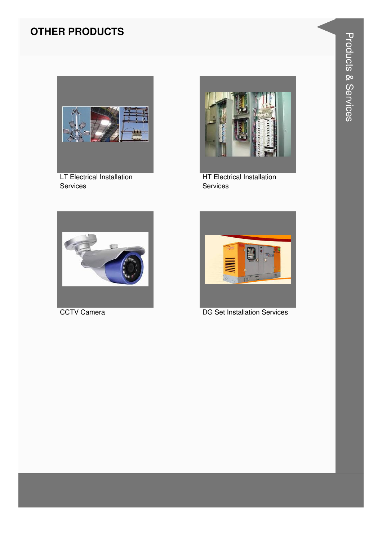#### **OTHER PRODUCTS**



LT Electrical Installation Services



HT Electrical Installation Services





CCTV Camera DG Set Installation Services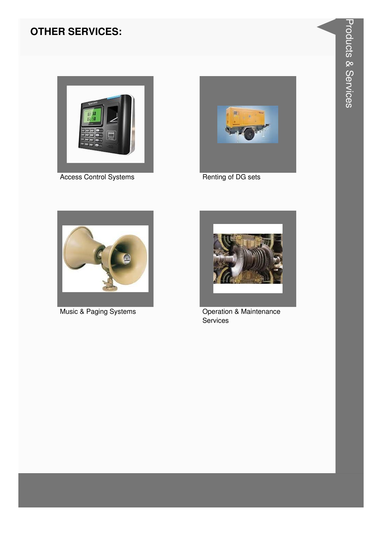#### **OTHER SERVICES:**



**Access Control Systems** 



Renting of DG sets



Music & Paging Systems



Operation & Maintenance Services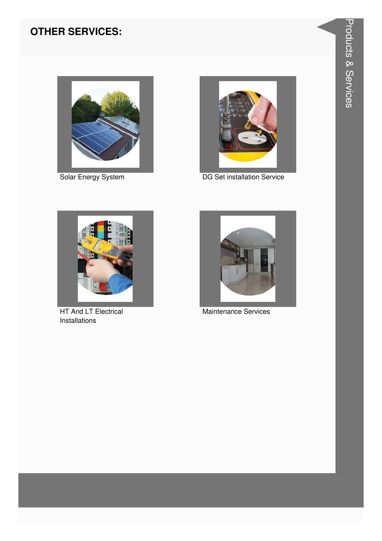#### **OTHER SERVICES:**



Solar Energy System



DG Set installation Service



HT And LT Electrical Installations



Maintenance Services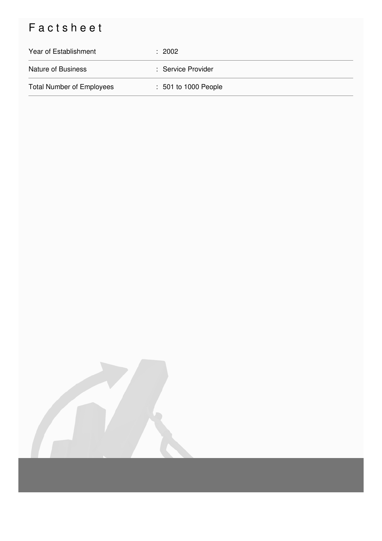## Factsheet

| Year of Establishment            | $\div$ 2002          |
|----------------------------------|----------------------|
| <b>Nature of Business</b>        | : Service Provider   |
| <b>Total Number of Employees</b> | : 501 to 1000 People |